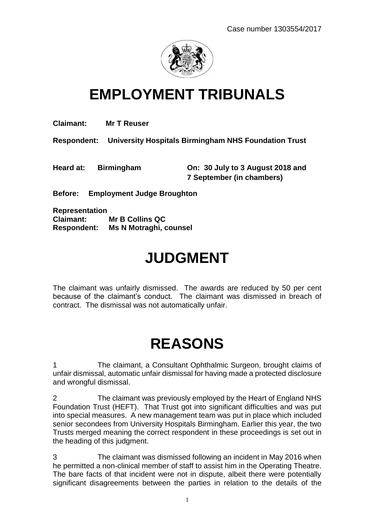

# **EMPLOYMENT TRIBUNALS**

**Claimant: Mr T Reuser**

**Respondent: University Hospitals Birmingham NHS Foundation Trust**

**Heard at: Birmingham On: 30 July to 3 August 2018 and 7 September (in chambers)**

**Before: Employment Judge Broughton**

**Representation Claimant: Mr B Collins QC Respondent: Ms N Motraghi, counsel**

# **JUDGMENT**

The claimant was unfairly dismissed. The awards are reduced by 50 per cent because of the claimant's conduct. The claimant was dismissed in breach of contract. The dismissal was not automatically unfair.

# **REASONS**

1 The claimant, a Consultant Ophthalmic Surgeon, brought claims of unfair dismissal, automatic unfair dismissal for having made a protected disclosure and wrongful dismissal.

2 The claimant was previously employed by the Heart of England NHS Foundation Trust (HEFT). That Trust got into significant difficulties and was put into special measures. A new management team was put in place which included senior secondees from University Hospitals Birmingham. Earlier this year, the two Trusts merged meaning the correct respondent in these proceedings is set out in the heading of this judgment.

3 The claimant was dismissed following an incident in May 2016 when he permitted a non-clinical member of staff to assist him in the Operating Theatre. The bare facts of that incident were not in dispute, albeit there were potentially significant disagreements between the parties in relation to the details of the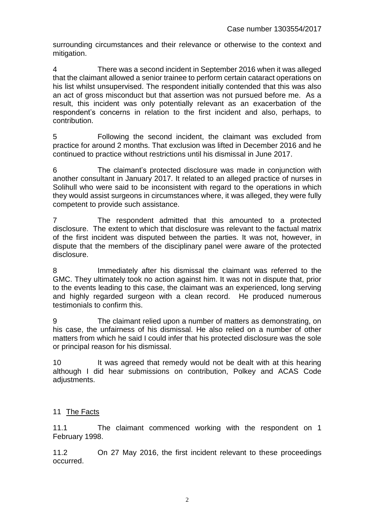surrounding circumstances and their relevance or otherwise to the context and mitigation.

4 There was a second incident in September 2016 when it was alleged that the claimant allowed a senior trainee to perform certain cataract operations on his list whilst unsupervised. The respondent initially contended that this was also an act of gross misconduct but that assertion was not pursued before me. As a result, this incident was only potentially relevant as an exacerbation of the respondent's concerns in relation to the first incident and also, perhaps, to contribution.

5 Following the second incident, the claimant was excluded from practice for around 2 months. That exclusion was lifted in December 2016 and he continued to practice without restrictions until his dismissal in June 2017.

6 The claimant's protected disclosure was made in conjunction with another consultant in January 2017. It related to an alleged practice of nurses in Solihull who were said to be inconsistent with regard to the operations in which they would assist surgeons in circumstances where, it was alleged, they were fully competent to provide such assistance.

7 The respondent admitted that this amounted to a protected disclosure. The extent to which that disclosure was relevant to the factual matrix of the first incident was disputed between the parties. It was not, however, in dispute that the members of the disciplinary panel were aware of the protected disclosure.

8 Immediately after his dismissal the claimant was referred to the GMC. They ultimately took no action against him. It was not in dispute that, prior to the events leading to this case, the claimant was an experienced, long serving and highly regarded surgeon with a clean record. He produced numerous testimonials to confirm this.

9 The claimant relied upon a number of matters as demonstrating, on his case, the unfairness of his dismissal. He also relied on a number of other matters from which he said I could infer that his protected disclosure was the sole or principal reason for his dismissal.

10 It was agreed that remedy would not be dealt with at this hearing although I did hear submissions on contribution, Polkey and ACAS Code adjustments.

# 11 The Facts

11.1 The claimant commenced working with the respondent on 1 February 1998.

11.2 On 27 May 2016, the first incident relevant to these proceedings occurred.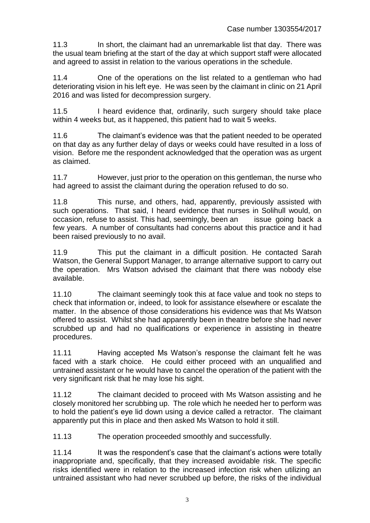11.3 In short, the claimant had an unremarkable list that day. There was the usual team briefing at the start of the day at which support staff were allocated and agreed to assist in relation to the various operations in the schedule.

11.4 One of the operations on the list related to a gentleman who had deteriorating vision in his left eye. He was seen by the claimant in clinic on 21 April 2016 and was listed for decompression surgery.

11.5 I heard evidence that, ordinarily, such surgery should take place within 4 weeks but, as it happened, this patient had to wait 5 weeks.

11.6 The claimant's evidence was that the patient needed to be operated on that day as any further delay of days or weeks could have resulted in a loss of vision. Before me the respondent acknowledged that the operation was as urgent as claimed.

11.7 However, just prior to the operation on this gentleman, the nurse who had agreed to assist the claimant during the operation refused to do so.

11.8 This nurse, and others, had, apparently, previously assisted with such operations. That said, I heard evidence that nurses in Solihull would, on occasion, refuse to assist. This had, seemingly, been an issue going back a few years. A number of consultants had concerns about this practice and it had been raised previously to no avail.

11.9 This put the claimant in a difficult position. He contacted Sarah Watson, the General Support Manager, to arrange alternative support to carry out the operation. Mrs Watson advised the claimant that there was nobody else available.

11.10 The claimant seemingly took this at face value and took no steps to check that information or, indeed, to look for assistance elsewhere or escalate the matter. In the absence of those considerations his evidence was that Ms Watson offered to assist. Whilst she had apparently been in theatre before she had never scrubbed up and had no qualifications or experience in assisting in theatre procedures.

11.11 Having accepted Ms Watson's response the claimant felt he was faced with a stark choice. He could either proceed with an unqualified and untrained assistant or he would have to cancel the operation of the patient with the very significant risk that he may lose his sight.

11.12 The claimant decided to proceed with Ms Watson assisting and he closely monitored her scrubbing up. The role which he needed her to perform was to hold the patient's eye lid down using a device called a retractor. The claimant apparently put this in place and then asked Ms Watson to hold it still.

11.13 The operation proceeded smoothly and successfully.

11.14 It was the respondent's case that the claimant's actions were totally inappropriate and, specifically, that they increased avoidable risk. The specific risks identified were in relation to the increased infection risk when utilizing an untrained assistant who had never scrubbed up before, the risks of the individual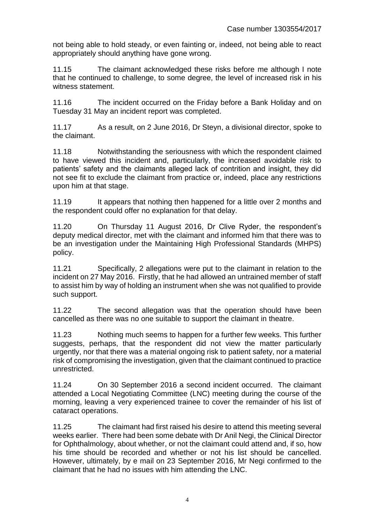not being able to hold steady, or even fainting or, indeed, not being able to react appropriately should anything have gone wrong.

11.15 The claimant acknowledged these risks before me although I note that he continued to challenge, to some degree, the level of increased risk in his witness statement.

11.16 The incident occurred on the Friday before a Bank Holiday and on Tuesday 31 May an incident report was completed.

11.17 As a result, on 2 June 2016, Dr Steyn, a divisional director, spoke to the claimant.

11.18 Notwithstanding the seriousness with which the respondent claimed to have viewed this incident and, particularly, the increased avoidable risk to patients' safety and the claimants alleged lack of contrition and insight, they did not see fit to exclude the claimant from practice or, indeed, place any restrictions upon him at that stage.

11.19 It appears that nothing then happened for a little over 2 months and the respondent could offer no explanation for that delay.

11.20 On Thursday 11 August 2016, Dr Clive Ryder, the respondent's deputy medical director, met with the claimant and informed him that there was to be an investigation under the Maintaining High Professional Standards (MHPS) policy.

11.21 Specifically, 2 allegations were put to the claimant in relation to the incident on 27 May 2016. Firstly, that he had allowed an untrained member of staff to assist him by way of holding an instrument when she was not qualified to provide such support.

11.22 The second allegation was that the operation should have been cancelled as there was no one suitable to support the claimant in theatre.

11.23 Nothing much seems to happen for a further few weeks. This further suggests, perhaps, that the respondent did not view the matter particularly urgently, nor that there was a material ongoing risk to patient safety, nor a material risk of compromising the investigation, given that the claimant continued to practice unrestricted.

11.24 On 30 September 2016 a second incident occurred. The claimant attended a Local Negotiating Committee (LNC) meeting during the course of the morning, leaving a very experienced trainee to cover the remainder of his list of cataract operations.

11.25 The claimant had first raised his desire to attend this meeting several weeks earlier. There had been some debate with Dr Anil Negi, the Clinical Director for Ophthalmology, about whether, or not the claimant could attend and, if so, how his time should be recorded and whether or not his list should be cancelled. However, ultimately, by e mail on 23 September 2016, Mr Negi confirmed to the claimant that he had no issues with him attending the LNC.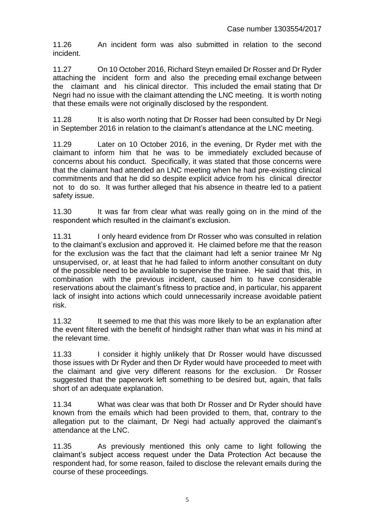11.26 An incident form was also submitted in relation to the second incident.

11.27 On 10 October 2016, Richard Steyn emailed Dr Rosser and Dr Ryder attaching the incident form and also the preceding email exchange between the claimant and his clinical director. This included the email stating that Dr Negri had no issue with the claimant attending the LNC meeting. It is worth noting that these emails were not originally disclosed by the respondent.

11.28 It is also worth noting that Dr Rosser had been consulted by Dr Negi in September 2016 in relation to the claimant's attendance at the LNC meeting.

11.29 Later on 10 October 2016, in the evening, Dr Ryder met with the claimant to inform him that he was to be immediately excluded because of concerns about his conduct. Specifically, it was stated that those concerns were that the claimant had attended an LNC meeting when he had pre-existing clinical commitments and that he did so despite explicit advice from his clinical director not to do so. It was further alleged that his absence in theatre led to a patient safety issue.

11.30 It was far from clear what was really going on in the mind of the respondent which resulted in the claimant's exclusion.

11.31 I only heard evidence from Dr Rosser who was consulted in relation to the claimant's exclusion and approved it. He claimed before me that the reason for the exclusion was the fact that the claimant had left a senior trainee Mr Ng unsupervised, or, at least that he had failed to inform another consultant on duty of the possible need to be available to supervise the trainee. He said that this, in combination with the previous incident, caused him to have considerable reservations about the claimant's fitness to practice and, in particular, his apparent lack of insight into actions which could unnecessarily increase avoidable patient risk.

11.32 It seemed to me that this was more likely to be an explanation after the event filtered with the benefit of hindsight rather than what was in his mind at the relevant time.

11.33 I consider it highly unlikely that Dr Rosser would have discussed those issues with Dr Ryder and then Dr Ryder would have proceeded to meet with the claimant and give very different reasons for the exclusion. Dr Rosser suggested that the paperwork left something to be desired but, again, that falls short of an adequate explanation.

11.34 What was clear was that both Dr Rosser and Dr Ryder should have known from the emails which had been provided to them, that, contrary to the allegation put to the claimant, Dr Negi had actually approved the claimant's attendance at the LNC.

11.35 As previously mentioned this only came to light following the claimant's subject access request under the Data Protection Act because the respondent had, for some reason, failed to disclose the relevant emails during the course of these proceedings.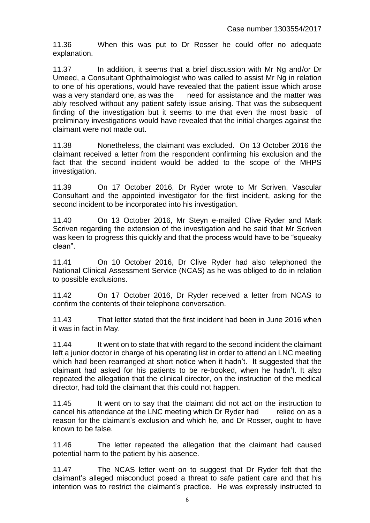11.36 When this was put to Dr Rosser he could offer no adequate explanation.

11.37 In addition, it seems that a brief discussion with Mr Ng and/or Dr Umeed, a Consultant Ophthalmologist who was called to assist Mr Ng in relation to one of his operations, would have revealed that the patient issue which arose was a very standard one, as was the need for assistance and the matter was ably resolved without any patient safety issue arising. That was the subsequent finding of the investigation but it seems to me that even the most basic of preliminary investigations would have revealed that the initial charges against the claimant were not made out.

11.38 Nonetheless, the claimant was excluded. On 13 October 2016 the claimant received a letter from the respondent confirming his exclusion and the fact that the second incident would be added to the scope of the MHPS investigation.

11.39 On 17 October 2016, Dr Ryder wrote to Mr Scriven, Vascular Consultant and the appointed investigator for the first incident, asking for the second incident to be incorporated into his investigation.

11.40 On 13 October 2016, Mr Steyn e-mailed Clive Ryder and Mark Scriven regarding the extension of the investigation and he said that Mr Scriven was keen to progress this quickly and that the process would have to be "squeaky clean".

11.41 On 10 October 2016, Dr Clive Ryder had also telephoned the National Clinical Assessment Service (NCAS) as he was obliged to do in relation to possible exclusions.

11.42 On 17 October 2016, Dr Ryder received a letter from NCAS to confirm the contents of their telephone conversation.

11.43 That letter stated that the first incident had been in June 2016 when it was in fact in May.

11.44 It went on to state that with regard to the second incident the claimant left a junior doctor in charge of his operating list in order to attend an LNC meeting which had been rearranged at short notice when it hadn't. It suggested that the claimant had asked for his patients to be re-booked, when he hadn't. It also repeated the allegation that the clinical director, on the instruction of the medical director, had told the claimant that this could not happen.

11.45 It went on to say that the claimant did not act on the instruction to cancel his attendance at the LNC meeting which Dr Ryder had relied on as a reason for the claimant's exclusion and which he, and Dr Rosser, ought to have known to be false.

11.46 The letter repeated the allegation that the claimant had caused potential harm to the patient by his absence.

11.47 The NCAS letter went on to suggest that Dr Ryder felt that the claimant's alleged misconduct posed a threat to safe patient care and that his intention was to restrict the claimant's practice. He was expressly instructed to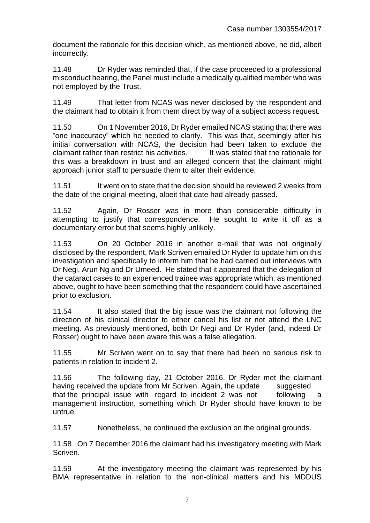document the rationale for this decision which, as mentioned above, he did, albeit incorrectly.

11.48 Dr Ryder was reminded that, if the case proceeded to a professional misconduct hearing, the Panel must include a medically qualified member who was not employed by the Trust.

11.49 That letter from NCAS was never disclosed by the respondent and the claimant had to obtain it from them direct by way of a subject access request.

11.50 On 1 November 2016, Dr Ryder emailed NCAS stating that there was "one inaccuracy" which he needed to clarify. This was that, seemingly after his initial conversation with NCAS, the decision had been taken to exclude the claimant rather than restrict his activities. It was stated that the rationale for this was a breakdown in trust and an alleged concern that the claimant might approach junior staff to persuade them to alter their evidence.

11.51 It went on to state that the decision should be reviewed 2 weeks from the date of the original meeting, albeit that date had already passed.

11.52 Again, Dr Rosser was in more than considerable difficulty in attempting to justify that correspondence. He sought to write it off as a documentary error but that seems highly unlikely.

11.53 On 20 October 2016 in another e-mail that was not originally disclosed by the respondent, Mark Scriven emailed Dr Ryder to update him on this investigation and specifically to inform him that he had carried out interviews with Dr Negi, Arun Ng and Dr Umeed. He stated that it appeared that the delegation of the cataract cases to an experienced trainee was appropriate which, as mentioned above, ought to have been something that the respondent could have ascertained prior to exclusion.

11.54 It also stated that the big issue was the claimant not following the direction of his clinical director to either cancel his list or not attend the LNC meeting. As previously mentioned, both Dr Negi and Dr Ryder (and, indeed Dr Rosser) ought to have been aware this was a false allegation.

11.55 Mr Scriven went on to say that there had been no serious risk to patients in relation to incident 2.

11.56 The following day, 21 October 2016, Dr Ryder met the claimant having received the update from Mr Scriven. Again, the update suggested that the principal issue with regard to incident 2 was not following a management instruction, something which Dr Ryder should have known to be untrue.

11.57 Nonetheless, he continued the exclusion on the original grounds.

11.58 On 7 December 2016 the claimant had his investigatory meeting with Mark Scriven.

11.59 At the investigatory meeting the claimant was represented by his BMA representative in relation to the non-clinical matters and his MDDUS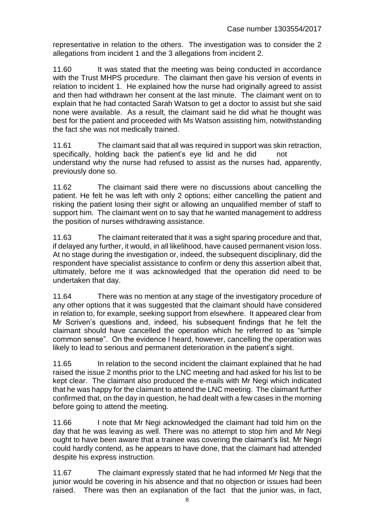representative in relation to the others. The investigation was to consider the 2 allegations from incident 1 and the 3 allegations from incident 2.

11.60 It was stated that the meeting was being conducted in accordance with the Trust MHPS procedure. The claimant then gave his version of events in relation to incident 1. He explained how the nurse had originally agreed to assist and then had withdrawn her consent at the last minute. The claimant went on to explain that he had contacted Sarah Watson to get a doctor to assist but she said none were available. As a result, the claimant said he did what he thought was best for the patient and proceeded with Ms Watson assisting him, notwithstanding the fact she was not medically trained.

11.61 The claimant said that all was required in support was skin retraction, specifically, holding back the patient's eye lid and he did not understand why the nurse had refused to assist as the nurses had, apparently, previously done so.

11.62 The claimant said there were no discussions about cancelling the patient. He felt he was left with only 2 options; either cancelling the patient and risking the patient losing their sight or allowing an unqualified member of staff to support him. The claimant went on to say that he wanted management to address the position of nurses withdrawing assistance.

11.63 The claimant reiterated that it was a sight sparing procedure and that, if delayed any further, it would, in all likelihood, have caused permanent vision loss. At no stage during the investigation or, indeed, the subsequent disciplinary, did the respondent have specialist assistance to confirm or deny this assertion albeit that, ultimately, before me it was acknowledged that the operation did need to be undertaken that day.

11.64 There was no mention at any stage of the investigatory procedure of any other options that it was suggested that the claimant should have considered in relation to, for example, seeking support from elsewhere. It appeared clear from Mr Scriven's questions and, indeed, his subsequent findings that he felt the claimant should have cancelled the operation which he referred to as "simple common sense". On the evidence I heard, however, cancelling the operation was likely to lead to serious and permanent deterioration in the patient's sight.

11.65 In relation to the second incident the claimant explained that he had raised the issue 2 months prior to the LNC meeting and had asked for his list to be kept clear. The claimant also produced the e-mails with Mr Negi which indicated that he was happy for the claimant to attend the LNC meeting. The claimant further confirmed that, on the day in question, he had dealt with a few cases in the morning before going to attend the meeting.

11.66 I note that Mr Negi acknowledged the claimant had told him on the day that he was leaving as well. There was no attempt to stop him and Mr Negi ought to have been aware that a trainee was covering the claimant's list. Mr Negri could hardly contend, as he appears to have done, that the claimant had attended despite his express instruction.

11.67 The claimant expressly stated that he had informed Mr Negi that the junior would be covering in his absence and that no objection or issues had been raised. There was then an explanation of the fact that the junior was, in fact,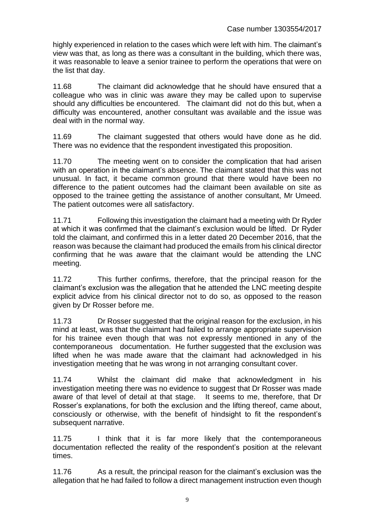highly experienced in relation to the cases which were left with him. The claimant's view was that, as long as there was a consultant in the building, which there was, it was reasonable to leave a senior trainee to perform the operations that were on the list that day.

11.68 The claimant did acknowledge that he should have ensured that a colleague who was in clinic was aware they may be called upon to supervise should any difficulties be encountered. The claimant did not do this but, when a difficulty was encountered, another consultant was available and the issue was deal with in the normal way.

11.69 The claimant suggested that others would have done as he did. There was no evidence that the respondent investigated this proposition.

11.70 The meeting went on to consider the complication that had arisen with an operation in the claimant's absence. The claimant stated that this was not unusual. In fact, it became common ground that there would have been no difference to the patient outcomes had the claimant been available on site as opposed to the trainee getting the assistance of another consultant, Mr Umeed. The patient outcomes were all satisfactory.

11.71 Following this investigation the claimant had a meeting with Dr Ryder at which it was confirmed that the claimant's exclusion would be lifted. Dr Ryder told the claimant, and confirmed this in a letter dated 20 December 2016, that the reason was because the claimant had produced the emails from his clinical director confirming that he was aware that the claimant would be attending the LNC meeting.

11.72 This further confirms, therefore, that the principal reason for the claimant's exclusion was the allegation that he attended the LNC meeting despite explicit advice from his clinical director not to do so, as opposed to the reason given by Dr Rosser before me.

11.73 Dr Rosser suggested that the original reason for the exclusion, in his mind at least, was that the claimant had failed to arrange appropriate supervision for his trainee even though that was not expressly mentioned in any of the contemporaneous documentation. He further suggested that the exclusion was lifted when he was made aware that the claimant had acknowledged in his investigation meeting that he was wrong in not arranging consultant cover.

11.74 Whilst the claimant did make that acknowledgment in his investigation meeting there was no evidence to suggest that Dr Rosser was made aware of that level of detail at that stage. It seems to me, therefore, that Dr Rosser's explanations, for both the exclusion and the lifting thereof, came about, consciously or otherwise, with the benefit of hindsight to fit the respondent's subsequent narrative.

11.75 I think that it is far more likely that the contemporaneous documentation reflected the reality of the respondent's position at the relevant times.

11.76 As a result, the principal reason for the claimant's exclusion was the allegation that he had failed to follow a direct management instruction even though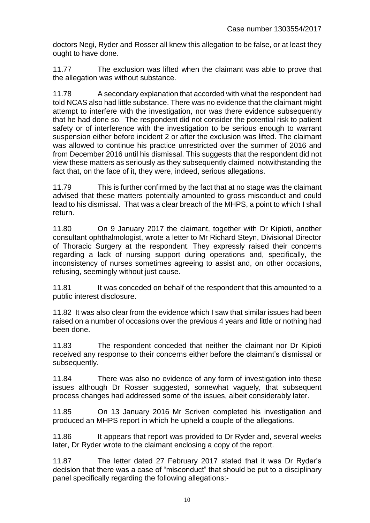doctors Negi, Ryder and Rosser all knew this allegation to be false, or at least they ought to have done.

11.77 The exclusion was lifted when the claimant was able to prove that the allegation was without substance.

11.78 A secondary explanation that accorded with what the respondent had told NCAS also had little substance. There was no evidence that the claimant might attempt to interfere with the investigation, nor was there evidence subsequently that he had done so. The respondent did not consider the potential risk to patient safety or of interference with the investigation to be serious enough to warrant suspension either before incident 2 or after the exclusion was lifted. The claimant was allowed to continue his practice unrestricted over the summer of 2016 and from December 2016 until his dismissal. This suggests that the respondent did not view these matters as seriously as they subsequently claimed notwithstanding the fact that, on the face of it, they were, indeed, serious allegations.

11.79 This is further confirmed by the fact that at no stage was the claimant advised that these matters potentially amounted to gross misconduct and could lead to his dismissal. That was a clear breach of the MHPS, a point to which I shall return.

11.80 On 9 January 2017 the claimant, together with Dr Kipioti, another consultant ophthalmologist, wrote a letter to Mr Richard Steyn, Divisional Director of Thoracic Surgery at the respondent. They expressly raised their concerns regarding a lack of nursing support during operations and, specifically, the inconsistency of nurses sometimes agreeing to assist and, on other occasions, refusing, seemingly without just cause.

11.81 It was conceded on behalf of the respondent that this amounted to a public interest disclosure.

11.82 It was also clear from the evidence which I saw that similar issues had been raised on a number of occasions over the previous 4 years and little or nothing had been done.

11.83 The respondent conceded that neither the claimant nor Dr Kipioti received any response to their concerns either before the claimant's dismissal or subsequently.

11.84 There was also no evidence of any form of investigation into these issues although Dr Rosser suggested, somewhat vaguely, that subsequent process changes had addressed some of the issues, albeit considerably later.

11.85 On 13 January 2016 Mr Scriven completed his investigation and produced an MHPS report in which he upheld a couple of the allegations.

11.86 It appears that report was provided to Dr Ryder and, several weeks later, Dr Ryder wrote to the claimant enclosing a copy of the report.

11.87 The letter dated 27 February 2017 stated that it was Dr Ryder's decision that there was a case of "misconduct" that should be put to a disciplinary panel specifically regarding the following allegations:-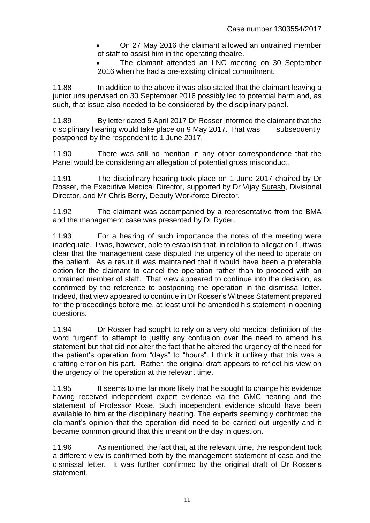- On 27 May 2016 the claimant allowed an untrained member of staff to assist him in the operating theatre.
- The clamant attended an LNC meeting on 30 September 2016 when he had a pre-existing clinical commitment.

11.88 In addition to the above it was also stated that the claimant leaving a junior unsupervised on 30 September 2016 possibly led to potential harm and. as such, that issue also needed to be considered by the disciplinary panel.

11.89 By letter dated 5 April 2017 Dr Rosser informed the claimant that the disciplinary hearing would take place on 9 May 2017. That was subsequently postponed by the respondent to 1 June 2017.

11.90 There was still no mention in any other correspondence that the Panel would be considering an allegation of potential gross misconduct.

11.91 The disciplinary hearing took place on 1 June 2017 chaired by Dr Rosser, the Executive Medical Director, supported by Dr Vijay Suresh, Divisional Director, and Mr Chris Berry, Deputy Workforce Director.

11.92 The claimant was accompanied by a representative from the BMA and the management case was presented by Dr Ryder.

11.93 For a hearing of such importance the notes of the meeting were inadequate. I was, however, able to establish that, in relation to allegation 1, it was clear that the management case disputed the urgency of the need to operate on the patient. As a result it was maintained that it would have been a preferable option for the claimant to cancel the operation rather than to proceed with an untrained member of staff. That view appeared to continue into the decision, as confirmed by the reference to postponing the operation in the dismissal letter. Indeed, that view appeared to continue in Dr Rosser's Witness Statement prepared for the proceedings before me, at least until he amended his statement in opening questions.

11.94 Dr Rosser had sought to rely on a very old medical definition of the word "urgent" to attempt to justify any confusion over the need to amend his statement but that did not alter the fact that he altered the urgency of the need for the patient's operation from "days" to "hours". I think it unlikely that this was a drafting error on his part. Rather, the original draft appears to reflect his view on the urgency of the operation at the relevant time.

11.95 It seems to me far more likely that he sought to change his evidence having received independent expert evidence via the GMC hearing and the statement of Professor Rose. Such independent evidence should have been available to him at the disciplinary hearing. The experts seemingly confirmed the claimant's opinion that the operation did need to be carried out urgently and it became common ground that this meant on the day in question.

11.96 As mentioned, the fact that, at the relevant time, the respondent took a different view is confirmed both by the management statement of case and the dismissal letter. It was further confirmed by the original draft of Dr Rosser's statement.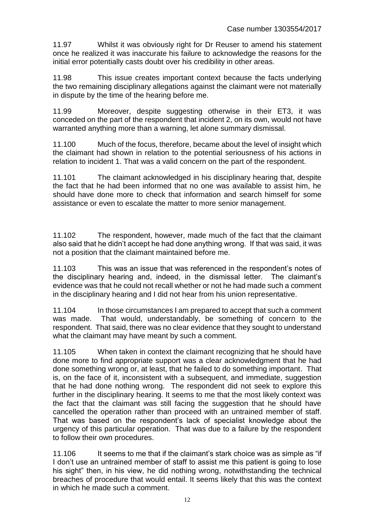11.97 Whilst it was obviously right for Dr Reuser to amend his statement once he realized it was inaccurate his failure to acknowledge the reasons for the initial error potentially casts doubt over his credibility in other areas.

11.98 This issue creates important context because the facts underlying the two remaining disciplinary allegations against the claimant were not materially in dispute by the time of the hearing before me.

11.99 Moreover, despite suggesting otherwise in their ET3, it was conceded on the part of the respondent that incident 2, on its own, would not have warranted anything more than a warning, let alone summary dismissal.

11.100 Much of the focus, therefore, became about the level of insight which the claimant had shown in relation to the potential seriousness of his actions in relation to incident 1. That was a valid concern on the part of the respondent.

11.101 The claimant acknowledged in his disciplinary hearing that, despite the fact that he had been informed that no one was available to assist him, he should have done more to check that information and search himself for some assistance or even to escalate the matter to more senior management.

11.102 The respondent, however, made much of the fact that the claimant also said that he didn't accept he had done anything wrong. If that was said, it was not a position that the claimant maintained before me.

11.103 This was an issue that was referenced in the respondent's notes of the disciplinary hearing and, indeed, in the dismissal letter. The claimant's evidence was that he could not recall whether or not he had made such a comment in the disciplinary hearing and I did not hear from his union representative.

11.104 In those circumstances I am prepared to accept that such a comment was made. That would, understandably, be something of concern to the respondent. That said, there was no clear evidence that they sought to understand what the claimant may have meant by such a comment.

11.105 When taken in context the claimant recognizing that he should have done more to find appropriate support was a clear acknowledgment that he had done something wrong or, at least, that he failed to do something important. That is, on the face of it, inconsistent with a subsequent, and immediate, suggestion that he had done nothing wrong. The respondent did not seek to explore this further in the disciplinary hearing. It seems to me that the most likely context was the fact that the claimant was still facing the suggestion that he should have cancelled the operation rather than proceed with an untrained member of staff. That was based on the respondent's lack of specialist knowledge about the urgency of this particular operation. That was due to a failure by the respondent to follow their own procedures.

11.106 It seems to me that if the claimant's stark choice was as simple as "if I don't use an untrained member of staff to assist me this patient is going to lose his sight" then, in his view, he did nothing wrong, notwithstanding the technical breaches of procedure that would entail. It seems likely that this was the context in which he made such a comment.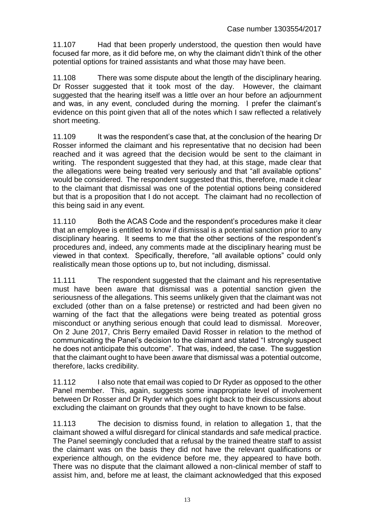11.107 Had that been properly understood, the question then would have focused far more, as it did before me, on why the claimant didn't think of the other potential options for trained assistants and what those may have been.

11.108 There was some dispute about the length of the disciplinary hearing. Dr Rosser suggested that it took most of the day. However, the claimant suggested that the hearing itself was a little over an hour before an adjournment and was, in any event, concluded during the morning. I prefer the claimant's evidence on this point given that all of the notes which I saw reflected a relatively short meeting.

11.109 It was the respondent's case that, at the conclusion of the hearing Dr Rosser informed the claimant and his representative that no decision had been reached and it was agreed that the decision would be sent to the claimant in writing. The respondent suggested that they had, at this stage, made clear that the allegations were being treated very seriously and that "all available options" would be considered. The respondent suggested that this, therefore, made it clear to the claimant that dismissal was one of the potential options being considered but that is a proposition that I do not accept. The claimant had no recollection of this being said in any event.

11.110 Both the ACAS Code and the respondent's procedures make it clear that an employee is entitled to know if dismissal is a potential sanction prior to any disciplinary hearing. It seems to me that the other sections of the respondent's procedures and, indeed, any comments made at the disciplinary hearing must be viewed in that context. Specifically, therefore, "all available options" could only realistically mean those options up to, but not including, dismissal.

11.111 The respondent suggested that the claimant and his representative must have been aware that dismissal was a potential sanction given the seriousness of the allegations. This seems unlikely given that the claimant was not excluded (other than on a false pretense) or restricted and had been given no warning of the fact that the allegations were being treated as potential gross misconduct or anything serious enough that could lead to dismissal. Moreover, On 2 June 2017, Chris Berry emailed David Rosser in relation to the method of communicating the Panel's decision to the claimant and stated "I strongly suspect he does not anticipate this outcome". That was, indeed, the case. The suggestion that the claimant ought to have been aware that dismissal was a potential outcome, therefore, lacks credibility.

11.112 I also note that email was copied to Dr Ryder as opposed to the other Panel member. This, again, suggests some inappropriate level of involvement between Dr Rosser and Dr Ryder which goes right back to their discussions about excluding the claimant on grounds that they ought to have known to be false.

11.113 The decision to dismiss found, in relation to allegation 1, that the claimant showed a wilful disregard for clinical standards and safe medical practice. The Panel seemingly concluded that a refusal by the trained theatre staff to assist the claimant was on the basis they did not have the relevant qualifications or experience although, on the evidence before me, they appeared to have both. There was no dispute that the claimant allowed a non-clinical member of staff to assist him, and, before me at least, the claimant acknowledged that this exposed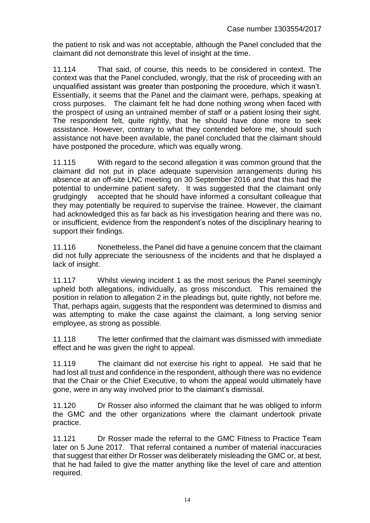the patient to risk and was not acceptable, although the Panel concluded that the claimant did not demonstrate this level of insight at the time.

11.114 That said, of course, this needs to be considered in context. The context was that the Panel concluded, wrongly, that the risk of proceeding with an unqualified assistant was greater than postponing the procedure, which it wasn't. Essentially, it seems that the Panel and the claimant were, perhaps, speaking at cross purposes. The claimant felt he had done nothing wrong when faced with the prospect of using an untrained member of staff or a patient losing their sight. The respondent felt, quite rightly, that he should have done more to seek assistance. However, contrary to what they contended before me, should such assistance not have been available, the panel concluded that the claimant should have postponed the procedure, which was equally wrong.

11.115 With regard to the second allegation it was common ground that the claimant did not put in place adequate supervision arrangements during his absence at an off-site LNC meeting on 30 September 2016 and that this had the potential to undermine patient safety. It was suggested that the claimant only grudgingly accepted that he should have informed a consultant colleague that they may potentially be required to supervise the trainee. However, the claimant had acknowledged this as far back as his investigation hearing and there was no, or insufficient, evidence from the respondent's notes of the disciplinary hearing to support their findings.

11.116 Nonetheless, the Panel did have a genuine concern that the claimant did not fully appreciate the seriousness of the incidents and that he displayed a lack of insight.

11.117 Whilst viewing incident 1 as the most serious the Panel seemingly upheld both allegations, individually, as gross misconduct. This remained the position in relation to allegation 2 in the pleadings but, quite rightly, not before me. That, perhaps again, suggests that the respondent was determined to dismiss and was attempting to make the case against the claimant, a long serving senior employee, as strong as possible.

11.118 The letter confirmed that the claimant was dismissed with immediate effect and he was given the right to appeal.

11.119 The claimant did not exercise his right to appeal. He said that he had lost all trust and confidence in the respondent, although there was no evidence that the Chair or the Chief Executive, to whom the appeal would ultimately have gone, were in any way involved prior to the claimant's dismissal.

11.120 Dr Rosser also informed the claimant that he was obliged to inform the GMC and the other organizations where the claimant undertook private practice.

11.121 Dr Rosser made the referral to the GMC Fitness to Practice Team later on 5 June 2017. That referral contained a number of material inaccuracies that suggest that either Dr Rosser was deliberately misleading the GMC or, at best, that he had failed to give the matter anything like the level of care and attention required.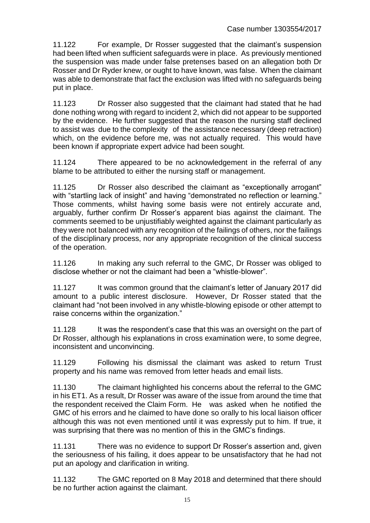11.122 For example, Dr Rosser suggested that the claimant's suspension had been lifted when sufficient safeguards were in place. As previously mentioned the suspension was made under false pretenses based on an allegation both Dr Rosser and Dr Ryder knew, or ought to have known, was false. When the claimant was able to demonstrate that fact the exclusion was lifted with no safeguards being put in place.

11.123 Dr Rosser also suggested that the claimant had stated that he had done nothing wrong with regard to incident 2, which did not appear to be supported by the evidence. He further suggested that the reason the nursing staff declined to assist was due to the complexity of the assistance necessary (deep retraction) which, on the evidence before me, was not actually required. This would have been known if appropriate expert advice had been sought.

11.124 There appeared to be no acknowledgement in the referral of any blame to be attributed to either the nursing staff or management.

11.125 Dr Rosser also described the claimant as "exceptionally arrogant" with "startling lack of insight" and having "demonstrated no reflection or learning." Those comments, whilst having some basis were not entirely accurate and, arguably, further confirm Dr Rosser's apparent bias against the claimant. The comments seemed to be unjustifiably weighted against the claimant particularly as they were not balanced with any recognition of the failings of others, nor the failings of the disciplinary process, nor any appropriate recognition of the clinical success of the operation.

11.126 In making any such referral to the GMC, Dr Rosser was obliged to disclose whether or not the claimant had been a "whistle-blower".

11.127 It was common ground that the claimant's letter of January 2017 did amount to a public interest disclosure. However, Dr Rosser stated that the claimant had "not been involved in any whistle-blowing episode or other attempt to raise concerns within the organization."

11.128 It was the respondent's case that this was an oversight on the part of Dr Rosser, although his explanations in cross examination were, to some degree, inconsistent and unconvincing.

11.129 Following his dismissal the claimant was asked to return Trust property and his name was removed from letter heads and email lists.

11.130 The claimant highlighted his concerns about the referral to the GMC in his ET1. As a result, Dr Rosser was aware of the issue from around the time that the respondent received the Claim Form. He was asked when he notified the GMC of his errors and he claimed to have done so orally to his local liaison officer although this was not even mentioned until it was expressly put to him. If true, it was surprising that there was no mention of this in the GMC's findings.

11.131 There was no evidence to support Dr Rosser's assertion and, given the seriousness of his failing, it does appear to be unsatisfactory that he had not put an apology and clarification in writing.

11.132 The GMC reported on 8 May 2018 and determined that there should be no further action against the claimant.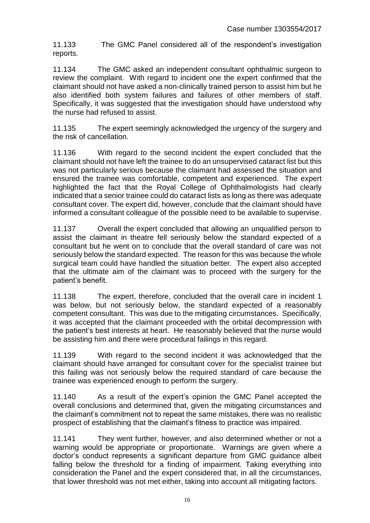11.133 The GMC Panel considered all of the respondent's investigation reports.

11.134 The GMC asked an independent consultant ophthalmic surgeon to review the complaint. With regard to incident one the expert confirmed that the claimant should not have asked a non-clinically trained person to assist him but he also identified both system failures and failures of other members of staff. Specifically, it was suggested that the investigation should have understood why the nurse had refused to assist.

11.135 The expert seemingly acknowledged the urgency of the surgery and the risk of cancellation.

11.136 With regard to the second incident the expert concluded that the claimant should not have left the trainee to do an unsupervised cataract list but this was not particularly serious because the claimant had assessed the situation and ensured the trainee was comfortable, competent and experienced. The expert highlighted the fact that the Royal College of Ophthalmologists had clearly indicated that a senior trainee could do cataract lists as long as there was adequate consultant cover. The expert did, however, conclude that the claimant should have informed a consultant colleague of the possible need to be available to supervise.

11.137 Overall the expert concluded that allowing an unqualified person to assist the claimant in theatre fell seriously below the standard expected of a consultant but he went on to conclude that the overall standard of care was not seriously below the standard expected. The reason for this was because the whole surgical team could have handled the situation better. The expert also accepted that the ultimate aim of the claimant was to proceed with the surgery for the patient's benefit.

11.138 The expert, therefore, concluded that the overall care in incident 1 was below, but not seriously below, the standard expected of a reasonably competent consultant. This was due to the mitigating circumstances. Specifically, it was accepted that the claimant proceeded with the orbital decompression with the patient's best interests at heart. He reasonably believed that the nurse would be assisting him and there were procedural failings in this regard.

11.139 With regard to the second incident it was acknowledged that the claimant should have arranged for consultant cover for the specialist trainee but this failing was not seriously below the required standard of care because the trainee was experienced enough to perform the surgery.

11.140 As a result of the expert's opinion the GMC Panel accepted the overall conclusions and determined that, given the mitigating circumstances and the claimant's commitment not to repeat the same mistakes, there was no realistic prospect of establishing that the claimant's fitness to practice was impaired.

11.141 They went further, however, and also determined whether or not a warning would be appropriate or proportionate. Warnings are given where a doctor's conduct represents a significant departure from GMC guidance albeit falling below the threshold for a finding of impairment. Taking everything into consideration the Panel and the expert considered that, in all the circumstances, that lower threshold was not met either, taking into account all mitigating factors.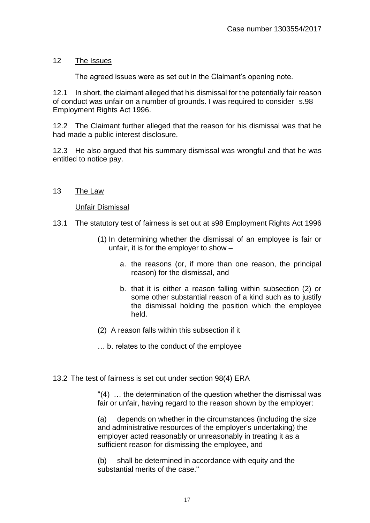# 12 The Issues

The agreed issues were as set out in the Claimant's opening note.

12.1 In short, the claimant alleged that his dismissal for the potentially fair reason of conduct was unfair on a number of grounds. I was required to consider s.98 Employment Rights Act 1996.

12.2 The Claimant further alleged that the reason for his dismissal was that he had made a public interest disclosure.

12.3 He also argued that his summary dismissal was wrongful and that he was entitled to notice pay.

## 13 The Law

Unfair Dismissal

- 13.1 The statutory test of fairness is set out at s98 Employment Rights Act 1996
	- (1) In determining whether the dismissal of an employee is fair or unfair, it is for the employer to show –
		- a. the reasons (or, if more than one reason, the principal reason) for the dismissal, and
		- b. that it is either a reason falling within subsection (2) or some other substantial reason of a kind such as to justify the dismissal holding the position which the employee held.

(2) A reason falls within this subsection if it

… b. relates to the conduct of the employee

13.2 The test of fairness is set out under section 98(4) ERA

 $''(4)$  ... the determination of the question whether the dismissal was fair or unfair, having regard to the reason shown by the employer:

(a) depends on whether in the circumstances (including the size and administrative resources of the employer's undertaking) the employer acted reasonably or unreasonably in treating it as a sufficient reason for dismissing the employee, and

(b) shall be determined in accordance with equity and the substantial merits of the case.''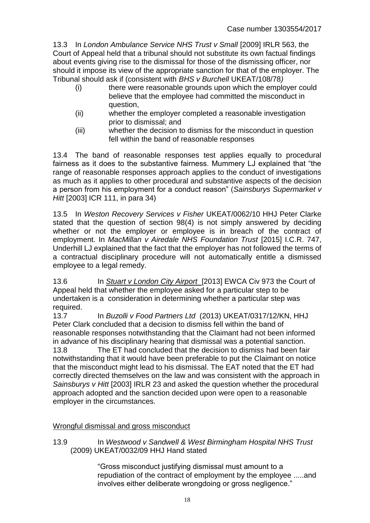13.3 In *London Ambulance Service NHS Trust v Small* [2009] IRLR 563, the Court of Appeal held that a tribunal should not substitute its own factual findings about events giving rise to the dismissal for those of the dismissing officer, nor should it impose its view of the appropriate sanction for that of the employer. The Tribunal should ask if (consistent with *BHS v Burchell* UKEAT/108/78*)* 

- (i) there were reasonable grounds upon which the employer could believe that the employee had committed the misconduct in question,
- (ii) whether the employer completed a reasonable investigation prior to dismissal; and
- (iii) whether the decision to dismiss for the misconduct in question fell within the band of reasonable responses

13.4 The band of reasonable responses test applies equally to procedural fairness as it does to the substantive fairness. Mummery LJ explained that "the range of reasonable responses approach applies to the conduct of investigations as much as it applies to other procedural and substantive aspects of the decision a person from his employment for a conduct reason" (*Sainsburys Supermarket v Hitt* [2003] ICR 111, in para 34)

13.5 In *Weston Recovery Services v Fisher* UKEAT/0062/10 HHJ Peter Clarke stated that the question of section 98(4) is not simply answered by deciding whether or not the employer or employee is in breach of the contract of employment. In *MacMillan v Airedale NHS Foundation Trust* [2015] I.C.R. 747, Underhill LJ explained that the fact that the employer has not followed the terms of a contractual disciplinary procedure will not automatically entitle a dismissed employee to a legal remedy.

13.6 In *Stuart v London City Airport* [2013] EWCA Civ 973 the Court of Appeal held that whether the employee asked for a particular step to be undertaken is a consideration in determining whether a particular step was required.

13.7 In *Buzolli v Food Partners Ltd* (2013) UKEAT/0317/12/KN, HHJ Peter Clark concluded that a decision to dismiss fell within the band of reasonable responses notwithstanding that the Claimant had not been informed in advance of his disciplinary hearing that dismissal was a potential sanction. 13.8 The ET had concluded that the decision to dismiss had been fair notwithstanding that it would have been preferable to put the Claimant on notice that the misconduct might lead to his dismissal. The EAT noted that the ET had correctly directed themselves on the law and was consistent with the approach in *Sainsburys v Hitt* [2003] IRLR 23 and asked the question whether the procedural approach adopted and the sanction decided upon were open to a reasonable employer in the circumstances.

## Wrongful dismissal and gross misconduct

13.9 In *Westwood v Sandwell & West Birmingham Hospital NHS Trust* (2009) UKEAT/0032/09 HHJ Hand stated

> "Gross misconduct justifying dismissal must amount to a repudiation of the contract of employment by the employee .....and involves either deliberate wrongdoing or gross negligence."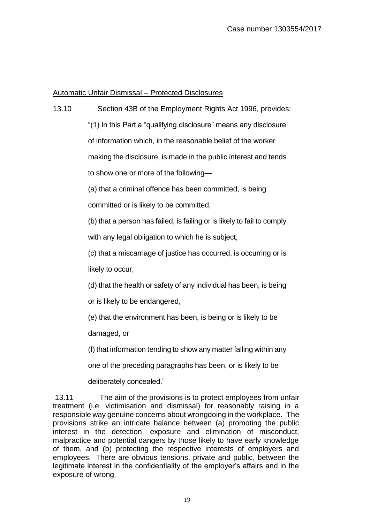#### Automatic Unfair Dismissal – Protected Disclosures

- 13.10 Section 43B of the Employment Rights Act 1996, provides: "(1) In this Part a "qualifying disclosure" means any disclosure of information which, in the reasonable belief of the worker making the disclosure, is made in the public interest and tends to show one or more of the following—
	- (a) that a criminal offence has been committed, is being

committed or is likely to be committed,

(b) that a person has failed, is failing or is likely to fail to comply with any legal obligation to which he is subject,

(c) that a miscarriage of justice has occurred, is occurring or is likely to occur,

(d) that the health or safety of any individual has been, is being

or is likely to be endangered,

(e) that the environment has been, is being or is likely to be

damaged, or

(f) that information tending to show any matter falling within any

one of the preceding paragraphs has been, or is likely to be

deliberately concealed."

13.11 The aim of the provisions is to protect employees from unfair treatment (i.e. victimisation and dismissal) for reasonably raising in a responsible way genuine concerns about wrongdoing in the workplace. The provisions strike an intricate balance between (a) promoting the public interest in the detection, exposure and elimination of misconduct, malpractice and potential dangers by those likely to have early knowledge of them, and (b) protecting the respective interests of employers and employees. There are obvious tensions, private and public, between the legitimate interest in the confidentiality of the employer's affairs and in the exposure of wrong.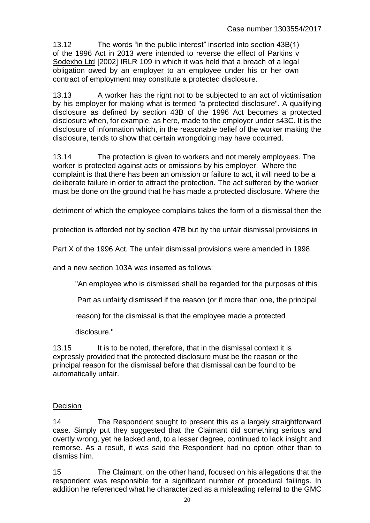13.12 The words "in the public interest" inserted into section 43B(1) of the 1996 Act in 2013 were intended to reverse the effect of Parkins v Sodexho Ltd [2002] IRLR 109 in which it was held that a breach of a legal obligation owed by an employer to an employee under his or her own contract of employment may constitute a protected disclosure.

13.13 A worker has the right not to be subjected to an act of victimisation by his employer for making what is termed "a protected disclosure". A qualifying disclosure as defined by section 43B of the 1996 Act becomes a protected disclosure when, for example, as here, made to the employer under s43C. It is the disclosure of information which, in the reasonable belief of the worker making the disclosure, tends to show that certain wrongdoing may have occurred.

13.14 The protection is given to workers and not merely employees. The worker is protected against acts or omissions by his employer. Where the complaint is that there has been an omission or failure to act, it will need to be a deliberate failure in order to attract the protection. The act suffered by the worker must be done on the ground that he has made a protected disclosure. Where the

detriment of which the employee complains takes the form of a dismissal then the

protection is afforded not by section 47B but by the unfair dismissal provisions in

Part X of the 1996 Act. The unfair dismissal provisions were amended in 1998

and a new section 103A was inserted as follows:

"An employee who is dismissed shall be regarded for the purposes of this

Part as unfairly dismissed if the reason (or if more than one, the principal

reason) for the dismissal is that the employee made a protected

disclosure."

13.15 It is to be noted, therefore, that in the dismissal context it is expressly provided that the protected disclosure must be the reason or the principal reason for the dismissal before that dismissal can be found to be automatically unfair.

#### **Decision**

14 The Respondent sought to present this as a largely straightforward case. Simply put they suggested that the Claimant did something serious and overtly wrong, yet he lacked and, to a lesser degree, continued to lack insight and remorse. As a result, it was said the Respondent had no option other than to dismiss him.

15 The Claimant, on the other hand, focused on his allegations that the respondent was responsible for a significant number of procedural failings. In addition he referenced what he characterized as a misleading referral to the GMC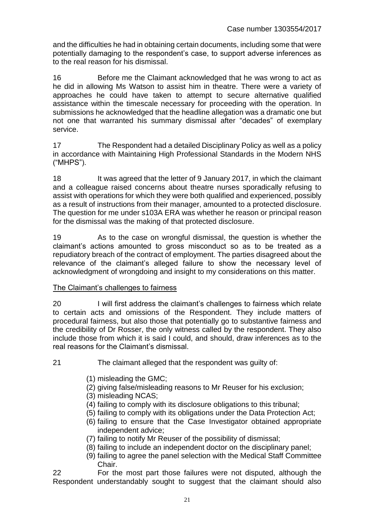and the difficulties he had in obtaining certain documents, including some that were potentially damaging to the respondent's case, to support adverse inferences as to the real reason for his dismissal.

16 Before me the Claimant acknowledged that he was wrong to act as he did in allowing Ms Watson to assist him in theatre. There were a variety of approaches he could have taken to attempt to secure alternative qualified assistance within the timescale necessary for proceeding with the operation. In submissions he acknowledged that the headline allegation was a dramatic one but not one that warranted his summary dismissal after "decades" of exemplary service.

17 The Respondent had a detailed Disciplinary Policy as well as a policy in accordance with Maintaining High Professional Standards in the Modern NHS ("MHPS").

18 It was agreed that the letter of 9 January 2017, in which the claimant and a colleague raised concerns about theatre nurses sporadically refusing to assist with operations for which they were both qualified and experienced, possibly as a result of instructions from their manager, amounted to a protected disclosure. The question for me under s103A ERA was whether he reason or principal reason for the dismissal was the making of that protected disclosure.

19 As to the case on wrongful dismissal, the question is whether the claimant's actions amounted to gross misconduct so as to be treated as a repudiatory breach of the contract of employment. The parties disagreed about the relevance of the claimant's alleged failure to show the necessary level of acknowledgment of wrongdoing and insight to my considerations on this matter.

## The Claimant's challenges to fairness

20 I will first address the claimant's challenges to fairness which relate to certain acts and omissions of the Respondent. They include matters of procedural fairness, but also those that potentially go to substantive fairness and the credibility of Dr Rosser, the only witness called by the respondent. They also include those from which it is said I could, and should, draw inferences as to the real reasons for the Claimant's dismissal.

- 21 The claimant alleged that the respondent was guilty of:
	- (1) misleading the GMC;
	- (2) giving false/misleading reasons to Mr Reuser for his exclusion;
	- (3) misleading NCAS;
	- (4) failing to comply with its disclosure obligations to this tribunal;
	- (5) failing to comply with its obligations under the Data Protection Act;
	- (6) failing to ensure that the Case Investigator obtained appropriate independent advice;
	- (7) failing to notify Mr Reuser of the possibility of dismissal;
	- (8) failing to include an independent doctor on the disciplinary panel;
	- (9) failing to agree the panel selection with the Medical Staff Committee Chair.

22 For the most part those failures were not disputed, although the Respondent understandably sought to suggest that the claimant should also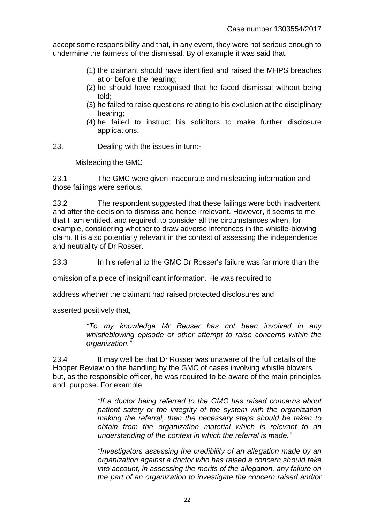accept some responsibility and that, in any event, they were not serious enough to undermine the fairness of the dismissal. By of example it was said that,

- (1) the claimant should have identified and raised the MHPS breaches at or before the hearing;
- (2) he should have recognised that he faced dismissal without being told;
- (3) he failed to raise questions relating to his exclusion at the disciplinary hearing;
- (4) he failed to instruct his solicitors to make further disclosure applications.
- 23. Dealing with the issues in turn:-

Misleading the GMC

23.1 The GMC were given inaccurate and misleading information and those failings were serious.

23.2 The respondent suggested that these failings were both inadvertent and after the decision to dismiss and hence irrelevant. However, it seems to me that I am entitled, and required, to consider all the circumstances when, for example, considering whether to draw adverse inferences in the whistle-blowing claim. It is also potentially relevant in the context of assessing the independence and neutrality of Dr Rosser.

23.3 In his referral to the GMC Dr Rosser's failure was far more than the

omission of a piece of insignificant information. He was required to

address whether the claimant had raised protected disclosures and

asserted positively that,

*"To my knowledge Mr Reuser has not been involved in any whistleblowing episode or other attempt to raise concerns within the organization."* 

23.4 It may well be that Dr Rosser was unaware of the full details of the Hooper Review on the handling by the GMC of cases involving whistle blowers but, as the responsible officer, he was required to be aware of the main principles and purpose. For example:

> *"If a doctor being referred to the GMC has raised concerns about patient safety or the integrity of the system with the organization making the referral, then the necessary steps should be taken to obtain from the organization material which is relevant to an understanding of the context in which the referral is made."*

> *"Investigators assessing the credibility of an allegation made by an organization against a doctor who has raised a concern should take into account, in assessing the merits of the allegation, any failure on the part of an organization to investigate the concern raised and/or*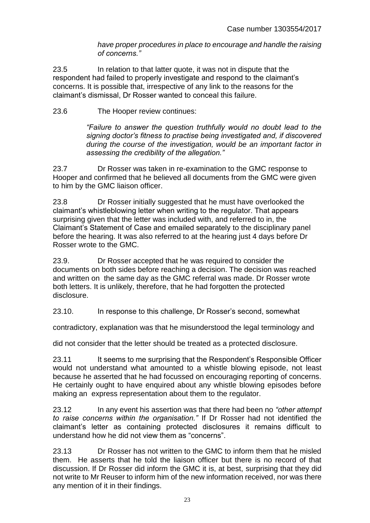*have proper procedures in place to encourage and handle the raising of concerns."* 

23.5 In relation to that latter quote, it was not in dispute that the respondent had failed to properly investigate and respond to the claimant's concerns. It is possible that, irrespective of any link to the reasons for the claimant's dismissal, Dr Rosser wanted to conceal this failure.

23.6 The Hooper review continues:

*"Failure to answer the question truthfully would no doubt lead to the signing doctor's fitness to practise being investigated and, if discovered during the course of the investigation, would be an important factor in assessing the credibility of the allegation."* 

23.7 Dr Rosser was taken in re-examination to the GMC response to Hooper and confirmed that he believed all documents from the GMC were given to him by the GMC liaison officer.

23.8 Dr Rosser initially suggested that he must have overlooked the claimant's whistleblowing letter when writing to the regulator. That appears surprising given that the letter was included with, and referred to in, the Claimant's Statement of Case and emailed separately to the disciplinary panel before the hearing. It was also referred to at the hearing just 4 days before Dr Rosser wrote to the GMC.

23.9. Dr Rosser accepted that he was required to consider the documents on both sides before reaching a decision. The decision was reached and written on the same day as the GMC referral was made. Dr Rosser wrote both letters. It is unlikely, therefore, that he had forgotten the protected disclosure.

23.10. In response to this challenge, Dr Rosser's second, somewhat

contradictory, explanation was that he misunderstood the legal terminology and

did not consider that the letter should be treated as a protected disclosure.

23.11 It seems to me surprising that the Respondent's Responsible Officer would not understand what amounted to a whistle blowing episode, not least because he asserted that he had focussed on encouraging reporting of concerns. He certainly ought to have enquired about any whistle blowing episodes before making an express representation about them to the regulator.

23.12 In any event his assertion was that there had been no *"other attempt to raise concerns within the organisation."* If Dr Rosser had not identified the claimant's letter as containing protected disclosures it remains difficult to understand how he did not view them as "concerns".

23.13 Dr Rosser has not written to the GMC to inform them that he misled them. He asserts that he told the liaison officer but there is no record of that discussion. If Dr Rosser did inform the GMC it is, at best, surprising that they did not write to Mr Reuser to inform him of the new information received, nor was there any mention of it in their findings.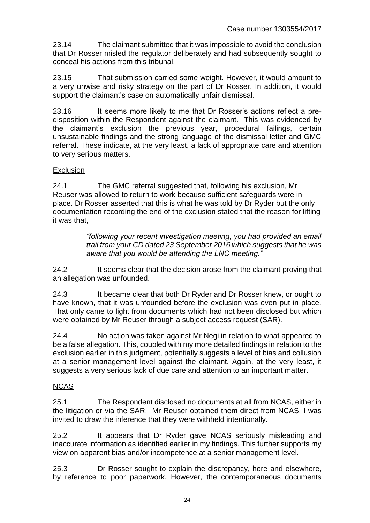23.14 The claimant submitted that it was impossible to avoid the conclusion that Dr Rosser misled the regulator deliberately and had subsequently sought to conceal his actions from this tribunal.

23.15 That submission carried some weight. However, it would amount to a very unwise and risky strategy on the part of Dr Rosser. In addition, it would support the claimant's case on automatically unfair dismissal.

23.16 It seems more likely to me that Dr Rosser's actions reflect a predisposition within the Respondent against the claimant. This was evidenced by the claimant's exclusion the previous year, procedural failings, certain unsustainable findings and the strong language of the dismissal letter and GMC referral. These indicate, at the very least, a lack of appropriate care and attention to very serious matters.

#### **Exclusion**

24.1 The GMC referral suggested that, following his exclusion, Mr Reuser was allowed to return to work because sufficient safeguards were in place. Dr Rosser asserted that this is what he was told by Dr Ryder but the only documentation recording the end of the exclusion stated that the reason for lifting it was that,

> *"following your recent investigation meeting, you had provided an email trail from your CD dated 23 September 2016 which suggests that he was aware that you would be attending the LNC meeting."*

24.2 It seems clear that the decision arose from the claimant proving that an allegation was unfounded.

24.3 It became clear that both Dr Ryder and Dr Rosser knew, or ought to have known, that it was unfounded before the exclusion was even put in place. That only came to light from documents which had not been disclosed but which were obtained by Mr Reuser through a subject access request (SAR).

24.4 No action was taken against Mr Negi in relation to what appeared to be a false allegation. This, coupled with my more detailed findings in relation to the exclusion earlier in this judgment, potentially suggests a level of bias and collusion at a senior management level against the claimant. Again, at the very least, it suggests a very serious lack of due care and attention to an important matter.

## NCAS

25.1 The Respondent disclosed no documents at all from NCAS, either in the litigation or via the SAR. Mr Reuser obtained them direct from NCAS. I was invited to draw the inference that they were withheld intentionally.

25.2 It appears that Dr Ryder gave NCAS seriously misleading and inaccurate information as identified earlier in my findings. This further supports my view on apparent bias and/or incompetence at a senior management level.

25.3 Dr Rosser sought to explain the discrepancy, here and elsewhere, by reference to poor paperwork. However, the contemporaneous documents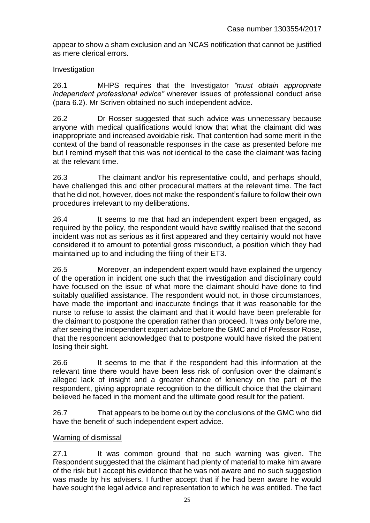appear to show a sham exclusion and an NCAS notification that cannot be justified as mere clerical errors.

#### Investigation

26.1 MHPS requires that the Investigator *"must obtain appropriate independent professional advice"* wherever issues of professional conduct arise (para 6.2). Mr Scriven obtained no such independent advice.

26.2 Dr Rosser suggested that such advice was unnecessary because anyone with medical qualifications would know that what the claimant did was inappropriate and increased avoidable risk. That contention had some merit in the context of the band of reasonable responses in the case as presented before me but I remind myself that this was not identical to the case the claimant was facing at the relevant time.

26.3 The claimant and/or his representative could, and perhaps should, have challenged this and other procedural matters at the relevant time. The fact that he did not, however, does not make the respondent's failure to follow their own procedures irrelevant to my deliberations.

26.4 It seems to me that had an independent expert been engaged, as required by the policy, the respondent would have swiftly realised that the second incident was not as serious as it first appeared and they certainly would not have considered it to amount to potential gross misconduct, a position which they had maintained up to and including the filing of their ET3.

26.5 Moreover, an independent expert would have explained the urgency of the operation in incident one such that the investigation and disciplinary could have focused on the issue of what more the claimant should have done to find suitably qualified assistance. The respondent would not, in those circumstances, have made the important and inaccurate findings that it was reasonable for the nurse to refuse to assist the claimant and that it would have been preferable for the claimant to postpone the operation rather than proceed. It was only before me, after seeing the independent expert advice before the GMC and of Professor Rose, that the respondent acknowledged that to postpone would have risked the patient losing their sight.

26.6 It seems to me that if the respondent had this information at the relevant time there would have been less risk of confusion over the claimant's alleged lack of insight and a greater chance of leniency on the part of the respondent, giving appropriate recognition to the difficult choice that the claimant believed he faced in the moment and the ultimate good result for the patient.

26.7 That appears to be borne out by the conclusions of the GMC who did have the benefit of such independent expert advice.

#### Warning of dismissal

27.1 It was common ground that no such warning was given. The Respondent suggested that the claimant had plenty of material to make him aware of the risk but I accept his evidence that he was not aware and no such suggestion was made by his advisers. I further accept that if he had been aware he would have sought the legal advice and representation to which he was entitled. The fact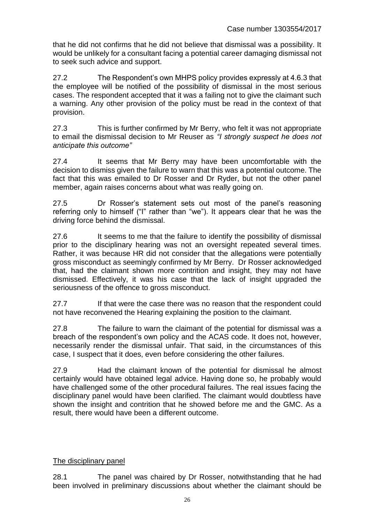that he did not confirms that he did not believe that dismissal was a possibility. It would be unlikely for a consultant facing a potential career damaging dismissal not to seek such advice and support.

27.2 The Respondent's own MHPS policy provides expressly at 4.6.3 that the employee will be notified of the possibility of dismissal in the most serious cases. The respondent accepted that it was a failing not to give the claimant such a warning. Any other provision of the policy must be read in the context of that provision.

27.3 This is further confirmed by Mr Berry, who felt it was not appropriate to email the dismissal decision to Mr Reuser as *"I strongly suspect he does not anticipate this outcome"* 

27.4 It seems that Mr Berry may have been uncomfortable with the decision to dismiss given the failure to warn that this was a potential outcome. The fact that this was emailed to Dr Rosser and Dr Ryder, but not the other panel member, again raises concerns about what was really going on.

27.5 Dr Rosser's statement sets out most of the panel's reasoning referring only to himself ("I" rather than "we"). It appears clear that he was the driving force behind the dismissal.

27.6 It seems to me that the failure to identify the possibility of dismissal prior to the disciplinary hearing was not an oversight repeated several times. Rather, it was because HR did not consider that the allegations were potentially gross misconduct as seemingly confirmed by Mr Berry. Dr Rosser acknowledged that, had the claimant shown more contrition and insight, they may not have dismissed. Effectively, it was his case that the lack of insight upgraded the seriousness of the offence to gross misconduct.

27.7 If that were the case there was no reason that the respondent could not have reconvened the Hearing explaining the position to the claimant.

27.8 The failure to warn the claimant of the potential for dismissal was a breach of the respondent's own policy and the ACAS code. It does not, however, necessarily render the dismissal unfair. That said, in the circumstances of this case, I suspect that it does, even before considering the other failures.

27.9 Had the claimant known of the potential for dismissal he almost certainly would have obtained legal advice. Having done so, he probably would have challenged some of the other procedural failures. The real issues facing the disciplinary panel would have been clarified. The claimant would doubtless have shown the insight and contrition that he showed before me and the GMC. As a result, there would have been a different outcome.

## The disciplinary panel

28.1 The panel was chaired by Dr Rosser, notwithstanding that he had been involved in preliminary discussions about whether the claimant should be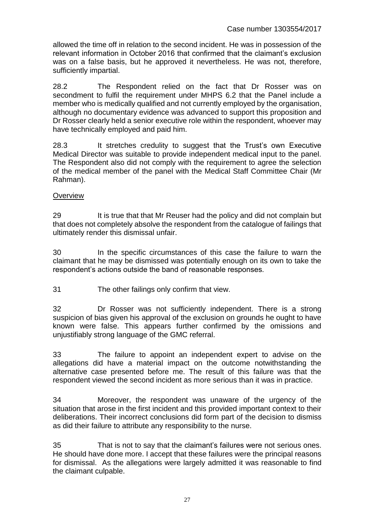allowed the time off in relation to the second incident. He was in possession of the relevant information in October 2016 that confirmed that the claimant's exclusion was on a false basis, but he approved it nevertheless. He was not, therefore, sufficiently impartial.

28.2 The Respondent relied on the fact that Dr Rosser was on secondment to fulfil the requirement under MHPS 6.2 that the Panel include a member who is medically qualified and not currently employed by the organisation, although no documentary evidence was advanced to support this proposition and Dr Rosser clearly held a senior executive role within the respondent, whoever may have technically employed and paid him.

28.3 It stretches credulity to suggest that the Trust's own Executive Medical Director was suitable to provide independent medical input to the panel. The Respondent also did not comply with the requirement to agree the selection of the medical member of the panel with the Medical Staff Committee Chair (Mr Rahman).

#### **Overview**

29 It is true that that Mr Reuser had the policy and did not complain but that does not completely absolve the respondent from the catalogue of failings that ultimately render this dismissal unfair.

30 In the specific circumstances of this case the failure to warn the claimant that he may be dismissed was potentially enough on its own to take the respondent's actions outside the band of reasonable responses.

31 The other failings only confirm that view.

32 Dr Rosser was not sufficiently independent. There is a strong suspicion of bias given his approval of the exclusion on grounds he ought to have known were false. This appears further confirmed by the omissions and unjustifiably strong language of the GMC referral.

33 The failure to appoint an independent expert to advise on the allegations did have a material impact on the outcome notwithstanding the alternative case presented before me. The result of this failure was that the respondent viewed the second incident as more serious than it was in practice.

34 Moreover, the respondent was unaware of the urgency of the situation that arose in the first incident and this provided important context to their deliberations. Their incorrect conclusions did form part of the decision to dismiss as did their failure to attribute any responsibility to the nurse.

35 That is not to say that the claimant's failures were not serious ones. He should have done more. I accept that these failures were the principal reasons for dismissal. As the allegations were largely admitted it was reasonable to find the claimant culpable.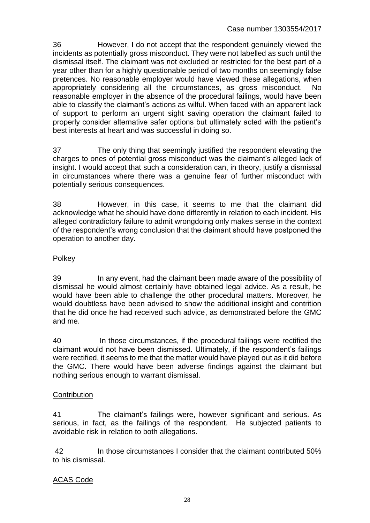36 However, I do not accept that the respondent genuinely viewed the incidents as potentially gross misconduct. They were not labelled as such until the dismissal itself. The claimant was not excluded or restricted for the best part of a year other than for a highly questionable period of two months on seemingly false pretences. No reasonable employer would have viewed these allegations, when appropriately considering all the circumstances, as gross misconduct. No reasonable employer in the absence of the procedural failings, would have been able to classify the claimant's actions as wilful. When faced with an apparent lack of support to perform an urgent sight saving operation the claimant failed to properly consider alternative safer options but ultimately acted with the patient's best interests at heart and was successful in doing so.

37 The only thing that seemingly justified the respondent elevating the charges to ones of potential gross misconduct was the claimant's alleged lack of insight. I would accept that such a consideration can, in theory, justify a dismissal in circumstances where there was a genuine fear of further misconduct with potentially serious consequences.

38 However, in this case, it seems to me that the claimant did acknowledge what he should have done differently in relation to each incident. His alleged contradictory failure to admit wrongdoing only makes sense in the context of the respondent's wrong conclusion that the claimant should have postponed the operation to another day.

# **Polkey**

39 In any event, had the claimant been made aware of the possibility of dismissal he would almost certainly have obtained legal advice. As a result, he would have been able to challenge the other procedural matters. Moreover, he would doubtless have been advised to show the additional insight and contrition that he did once he had received such advice, as demonstrated before the GMC and me.

40 In those circumstances, if the procedural failings were rectified the claimant would not have been dismissed. Ultimately, if the respondent's failings were rectified, it seems to me that the matter would have played out as it did before the GMC. There would have been adverse findings against the claimant but nothing serious enough to warrant dismissal.

## **Contribution**

41 The claimant's failings were, however significant and serious. As serious, in fact, as the failings of the respondent. He subjected patients to avoidable risk in relation to both allegations.

42 In those circumstances I consider that the claimant contributed 50% to his dismissal.

## ACAS Code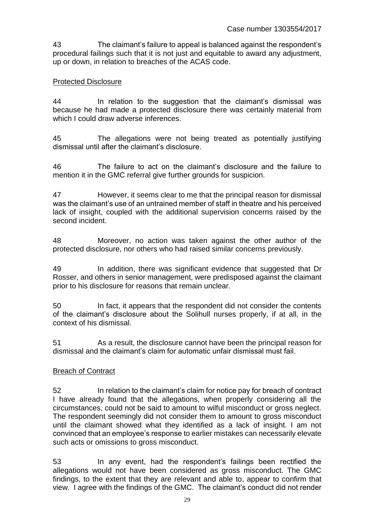43 The claimant's failure to appeal is balanced against the respondent's procedural failings such that it is not just and equitable to award any adjustment, up or down, in relation to breaches of the ACAS code.

#### Protected Disclosure

44 In relation to the suggestion that the claimant's dismissal was because he had made a protected disclosure there was certainly material from which I could draw adverse inferences.

45 The allegations were not being treated as potentially justifying dismissal until after the claimant's disclosure.

46 The failure to act on the claimant's disclosure and the failure to mention it in the GMC referral give further grounds for suspicion.

47 However, it seems clear to me that the principal reason for dismissal was the claimant's use of an untrained member of staff in theatre and his perceived lack of insight, coupled with the additional supervision concerns raised by the second incident.

48 Moreover, no action was taken against the other author of the protected disclosure, nor others who had raised similar concerns previously.

49 In addition, there was significant evidence that suggested that Dr Rosser, and others in senior management, were predisposed against the claimant prior to his disclosure for reasons that remain unclear.

50 In fact, it appears that the respondent did not consider the contents of the claimant's disclosure about the Solihull nurses properly, if at all, in the context of his dismissal.

51 As a result, the disclosure cannot have been the principal reason for dismissal and the claimant's claim for automatic unfair dismissal must fail.

#### Breach of Contract

52 In relation to the claimant's claim for notice pay for breach of contract I have already found that the allegations, when properly considering all the circumstances, could not be said to amount to wilful misconduct or gross neglect. The respondent seemingly did not consider them to amount to gross misconduct until the claimant showed what they identified as a lack of insight. I am not convinced that an employee's response to earlier mistakes can necessarily elevate such acts or omissions to gross misconduct.

53 In any event, had the respondent's failings been rectified the allegations would not have been considered as gross misconduct. The GMC findings, to the extent that they are relevant and able to, appear to confirm that view. I agree with the findings of the GMC. The claimant's conduct did not render